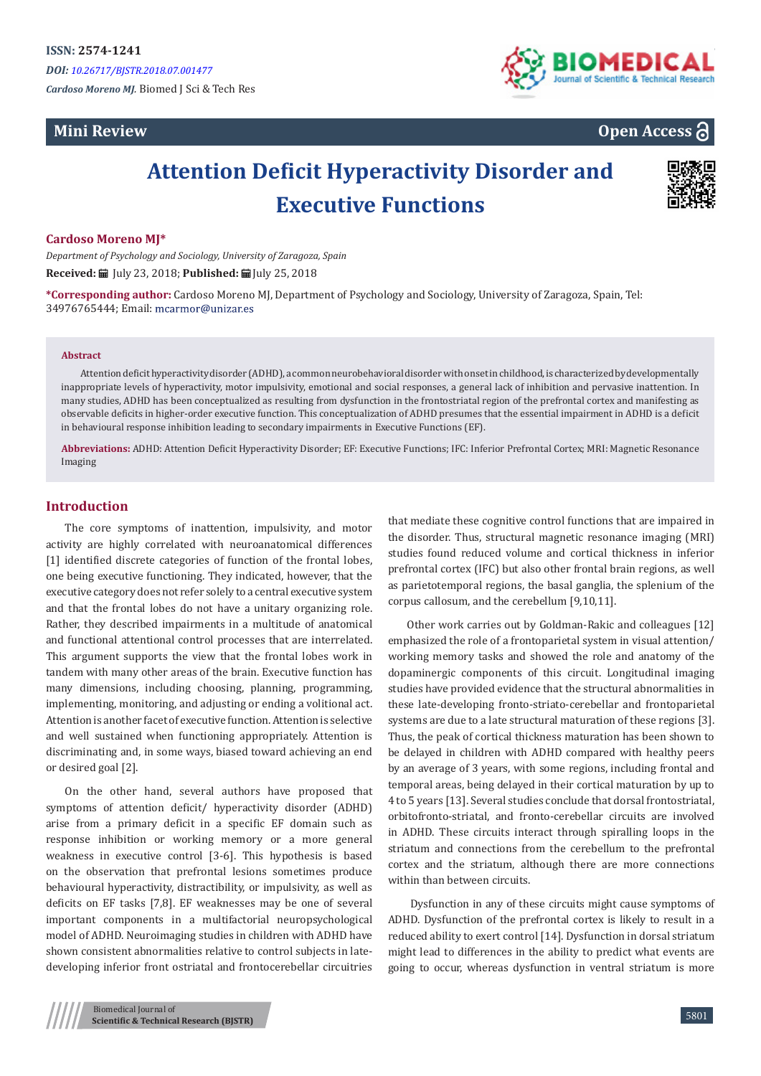*Cardoso Moreno MJ.* Biomed J Sci & Tech Res

## **Mini Review**



**Open Access**

# **Attention Deficit Hyperactivity Disorder and Executive Functions**



#### **Cardoso Moreno MJ\***

*Department of Psychology and Sociology, University of Zaragoza, Spain* **Received:** July 23, 2018; **Published:** July 25, 2018

**\*Corresponding author:** Cardoso Moreno MJ, Department of Psychology and Sociology, University of Zaragoza, Spain, Tel: 34976765444; Email:

#### **Abstract**

Attention deficit hyperactivity disorder (ADHD), a common neurobehavioral disorder with onset in childhood, is characterized by developmentally inappropriate levels of hyperactivity, motor impulsivity, emotional and social responses, a general lack of inhibition and pervasive inattention. In many studies, ADHD has been conceptualized as resulting from dysfunction in the frontostriatal region of the prefrontal cortex and manifesting as observable deficits in higher-order executive function. This conceptualization of ADHD presumes that the essential impairment in ADHD is a deficit in behavioural response inhibition leading to secondary impairments in Executive Functions (EF).

**Abbreviations:** ADHD: Attention Deficit Hyperactivity Disorder; EF: Executive Functions; IFC: Inferior Prefrontal Cortex; MRI: Magnetic Resonance Imaging

## **Introduction**

The core symptoms of inattention, impulsivity, and motor activity are highly correlated with neuroanatomical differences [1] identified discrete categories of function of the frontal lobes, one being executive functioning. They indicated, however, that the executive category does not refer solely to a central executive system and that the frontal lobes do not have a unitary organizing role. Rather, they described impairments in a multitude of anatomical and functional attentional control processes that are interrelated. This argument supports the view that the frontal lobes work in tandem with many other areas of the brain. Executive function has many dimensions, including choosing, planning, programming, implementing, monitoring, and adjusting or ending a volitional act. Attention is another facet of executive function. Attention is selective and well sustained when functioning appropriately. Attention is discriminating and, in some ways, biased toward achieving an end or desired goal [2].

On the other hand, several authors have proposed that symptoms of attention deficit/ hyperactivity disorder (ADHD) arise from a primary deficit in a specific EF domain such as response inhibition or working memory or a more general weakness in executive control [3-6]. This hypothesis is based on the observation that prefrontal lesions sometimes produce behavioural hyperactivity, distractibility, or impulsivity, as well as deficits on EF tasks [7,8]. EF weaknesses may be one of several important components in a multifactorial neuropsychological model of ADHD. Neuroimaging studies in children with ADHD have shown consistent abnormalities relative to control subjects in latedeveloping inferior front ostriatal and frontocerebellar circuitries

that mediate these cognitive control functions that are impaired in the disorder. Thus, structural magnetic resonance imaging (MRI) studies found reduced volume and cortical thickness in inferior prefrontal cortex (IFC) but also other frontal brain regions, as well as parietotemporal regions, the basal ganglia, the splenium of the corpus callosum, and the cerebellum [9,10,11].

Other work carries out by Goldman-Rakic and colleagues [12] emphasized the role of a frontoparietal system in visual attention/ working memory tasks and showed the role and anatomy of the dopaminergic components of this circuit. Longitudinal imaging studies have provided evidence that the structural abnormalities in these late-developing fronto-striato-cerebellar and frontoparietal systems are due to a late structural maturation of these regions [3]. Thus, the peak of cortical thickness maturation has been shown to be delayed in children with ADHD compared with healthy peers by an average of 3 years, with some regions, including frontal and temporal areas, being delayed in their cortical maturation by up to 4 to 5 years [13]. Several studies conclude that dorsal frontostriatal, orbitofronto-striatal, and fronto-cerebellar circuits are involved in ADHD. These circuits interact through spiralling loops in the striatum and connections from the cerebellum to the prefrontal cortex and the striatum, although there are more connections within than between circuits.

 Dysfunction in any of these circuits might cause symptoms of ADHD. Dysfunction of the prefrontal cortex is likely to result in a reduced ability to exert control [14]. Dysfunction in dorsal striatum might lead to differences in the ability to predict what events are going to occur, whereas dysfunction in ventral striatum is more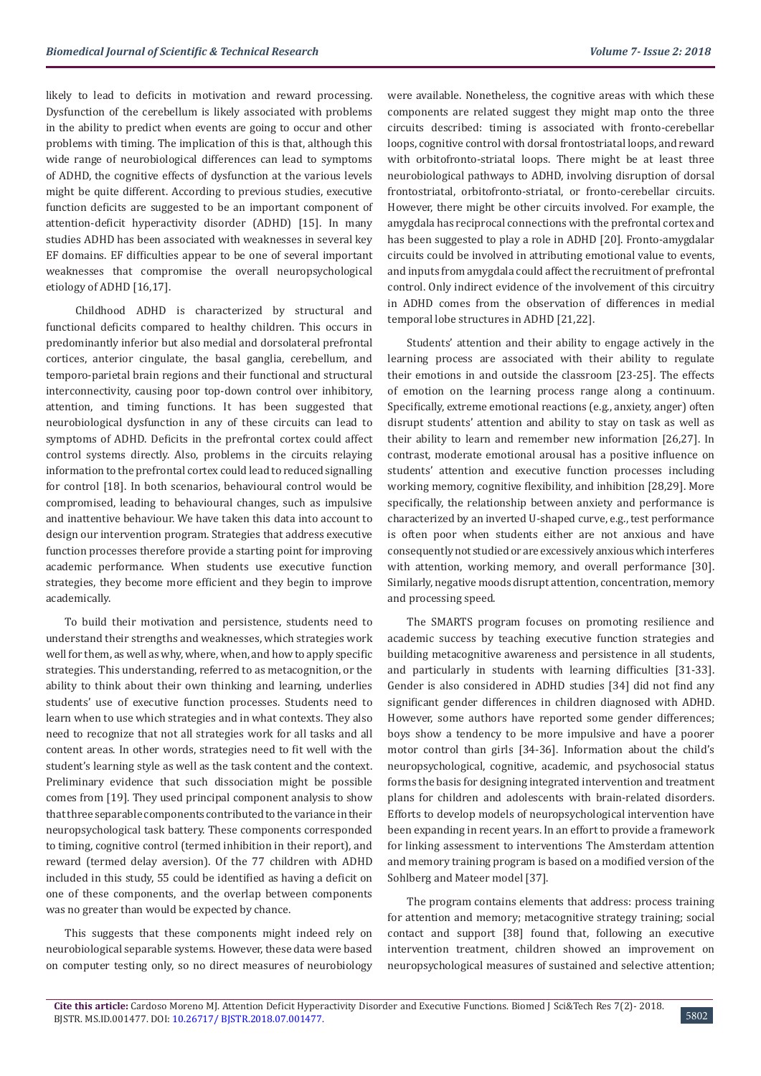likely to lead to deficits in motivation and reward processing. Dysfunction of the cerebellum is likely associated with problems in the ability to predict when events are going to occur and other problems with timing. The implication of this is that, although this wide range of neurobiological differences can lead to symptoms of ADHD, the cognitive effects of dysfunction at the various levels might be quite different. According to previous studies, executive function deficits are suggested to be an important component of attention-deficit hyperactivity disorder (ADHD) [15]. In many studies ADHD has been associated with weaknesses in several key EF domains. EF difficulties appear to be one of several important weaknesses that compromise the overall neuropsychological etiology of ADHD [16,17].

 Childhood ADHD is characterized by structural and functional deficits compared to healthy children. This occurs in predominantly inferior but also medial and dorsolateral prefrontal cortices, anterior cingulate, the basal ganglia, cerebellum, and temporo-parietal brain regions and their functional and structural interconnectivity, causing poor top-down control over inhibitory, attention, and timing functions. It has been suggested that neurobiological dysfunction in any of these circuits can lead to symptoms of ADHD. Deficits in the prefrontal cortex could affect control systems directly. Also, problems in the circuits relaying information to the prefrontal cortex could lead to reduced signalling for control [18]. In both scenarios, behavioural control would be compromised, leading to behavioural changes, such as impulsive and inattentive behaviour. We have taken this data into account to design our intervention program. Strategies that address executive function processes therefore provide a starting point for improving academic performance. When students use executive function strategies, they become more efficient and they begin to improve academically.

To build their motivation and persistence, students need to understand their strengths and weaknesses, which strategies work well for them, as well as why, where, when, and how to apply specific strategies. This understanding, referred to as metacognition, or the ability to think about their own thinking and learning, underlies students' use of executive function processes. Students need to learn when to use which strategies and in what contexts. They also need to recognize that not all strategies work for all tasks and all content areas. In other words, strategies need to fit well with the student's learning style as well as the task content and the context. Preliminary evidence that such dissociation might be possible comes from [19]. They used principal component analysis to show that three separable components contributed to the variance in their neuropsychological task battery. These components corresponded to timing, cognitive control (termed inhibition in their report), and reward (termed delay aversion). Of the 77 children with ADHD included in this study, 55 could be identified as having a deficit on one of these components, and the overlap between components was no greater than would be expected by chance.

This suggests that these components might indeed rely on neurobiological separable systems. However, these data were based on computer testing only, so no direct measures of neurobiology were available. Nonetheless, the cognitive areas with which these components are related suggest they might map onto the three circuits described: timing is associated with fronto-cerebellar loops, cognitive control with dorsal frontostriatal loops, and reward with orbitofronto-striatal loops. There might be at least three neurobiological pathways to ADHD, involving disruption of dorsal frontostriatal, orbitofronto-striatal, or fronto-cerebellar circuits. However, there might be other circuits involved. For example, the amygdala has reciprocal connections with the prefrontal cortex and has been suggested to play a role in ADHD [20]. Fronto-amygdalar circuits could be involved in attributing emotional value to events, and inputs from amygdala could affect the recruitment of prefrontal control. Only indirect evidence of the involvement of this circuitry in ADHD comes from the observation of differences in medial temporal lobe structures in ADHD [21,22].

Students' attention and their ability to engage actively in the learning process are associated with their ability to regulate their emotions in and outside the classroom [23-25]. The effects of emotion on the learning process range along a continuum. Specifically, extreme emotional reactions (e.g., anxiety, anger) often disrupt students' attention and ability to stay on task as well as their ability to learn and remember new information [26,27]. In contrast, moderate emotional arousal has a positive influence on students' attention and executive function processes including working memory, cognitive flexibility, and inhibition [28,29]. More specifically, the relationship between anxiety and performance is characterized by an inverted U-shaped curve, e.g., test performance is often poor when students either are not anxious and have consequently not studied or are excessively anxious which interferes with attention, working memory, and overall performance [30]. Similarly, negative moods disrupt attention, concentration, memory and processing speed.

The SMARTS program focuses on promoting resilience and academic success by teaching executive function strategies and building metacognitive awareness and persistence in all students, and particularly in students with learning difficulties [31-33]. Gender is also considered in ADHD studies [34] did not find any significant gender differences in children diagnosed with ADHD. However, some authors have reported some gender differences; boys show a tendency to be more impulsive and have a poorer motor control than girls [34-36]. Information about the child's neuropsychological, cognitive, academic, and psychosocial status forms the basis for designing integrated intervention and treatment plans for children and adolescents with brain-related disorders. Efforts to develop models of neuropsychological intervention have been expanding in recent years. In an effort to provide a framework for linking assessment to interventions The Amsterdam attention and memory training program is based on a modified version of the Sohlberg and Mateer model [37].

The program contains elements that address: process training for attention and memory; metacognitive strategy training; social contact and support [38] found that, following an executive intervention treatment, children showed an improvement on neuropsychological measures of sustained and selective attention;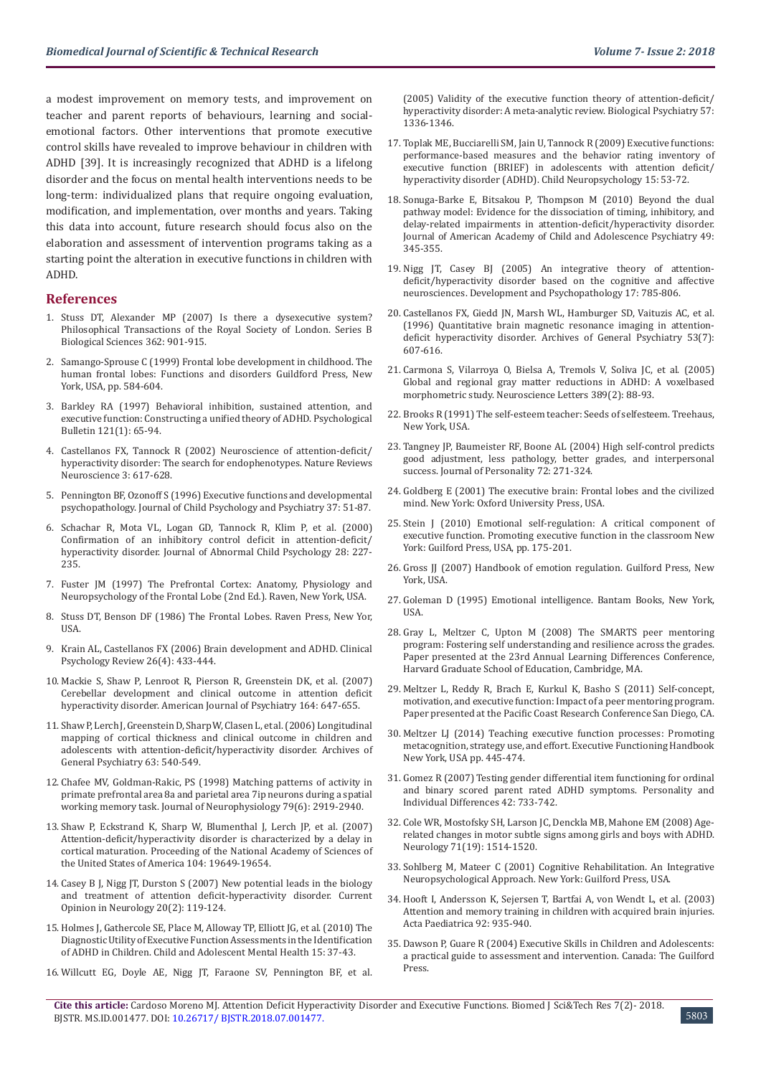a modest improvement on memory tests, and improvement on teacher and parent reports of behaviours, learning and socialemotional factors. Other interventions that promote executive control skills have revealed to improve behaviour in children with ADHD [39]. It is increasingly recognized that ADHD is a lifelong disorder and the focus on mental health interventions needs to be long-term: individualized plans that require ongoing evaluation, modification, and implementation, over months and years. Taking this data into account, future research should focus also on the elaboration and assessment of intervention programs taking as a starting point the alteration in executive functions in children with ADHD.

#### **References**

- 1. [Stuss DT, Alexander MP \(2007\) Is there a dysexecutive system?](https://www.ncbi.nlm.nih.gov/pubmed/17412679)  [Philosophical Transactions of the Royal Society of London. Series B](https://www.ncbi.nlm.nih.gov/pubmed/17412679)  [Biological Sciences 362: 901-915.](https://www.ncbi.nlm.nih.gov/pubmed/17412679)
- 2. Samango-Sprouse C (1999) Frontal lobe development in childhood. The human frontal lobes: Functions and disorders Guildford Press, New York, USA, pp. 584-604.
- 3. [Barkley RA \(1997\) Behavioral inhibition, sustained attention, and](https://www.ncbi.nlm.nih.gov/pubmed/9000892)  [executive function: Constructing a unified theory of ADHD. Psychological](https://www.ncbi.nlm.nih.gov/pubmed/9000892)  Bulletin [121\(1\): 65-94.](https://www.ncbi.nlm.nih.gov/pubmed/9000892)
- 4. [Castellanos FX, Tannock R \(2002\) Neuroscience of attention-deficit/](https://www.ncbi.nlm.nih.gov/pubmed/12154363) [hyperactivity disorder: The search for endophenotypes. Nature Reviews](https://www.ncbi.nlm.nih.gov/pubmed/12154363)  [Neuroscience 3: 617-628.](https://www.ncbi.nlm.nih.gov/pubmed/12154363)
- 5. [Pennington BF, Ozonoff S \(1996\) Executive functions and developmental](https://www.ncbi.nlm.nih.gov/pubmed/8655658)  [psychopathology. Journal of Child Psychology and Psychiatry 37: 51-87.](https://www.ncbi.nlm.nih.gov/pubmed/8655658)
- 6. [Schachar R, Mota VL, Logan GD, Tannock R, Klim P, et al. \(2000\)](https://www.ncbi.nlm.nih.gov/pubmed/10885681)  [Confirmation of an inhibitory control deficit in attention-deficit/](https://www.ncbi.nlm.nih.gov/pubmed/10885681) [hyperactivity disorder. Journal of Abnormal Child Psychology 28: 227-](https://www.ncbi.nlm.nih.gov/pubmed/10885681) [235.](https://www.ncbi.nlm.nih.gov/pubmed/10885681)
- 7. [Fuster JM \(1997\) The Prefrontal Cortex: Anatomy, Physiology and](https://www.cell.com/article/0896-6974(89)90049-2/abstract)  [Neuropsychology of the Frontal Lobe \(2nd Ed](https://www.cell.com/article/0896-6974(89)90049-2/abstract)*.*). Raven, New York, USA.
- 8. Stuss DT, Benson DF (1986) The Frontal Lobes. Raven Press, New Yor, **IISA**
- 9. [Krain AL, Castellanos FX \(2006\) Brain development and ADHD. Clinical](https://www.ncbi.nlm.nih.gov/pubmed/16480802)  [Psychology Review 26\(4\): 433-444.](https://www.ncbi.nlm.nih.gov/pubmed/16480802)
- 10. [Mackie S, Shaw P, Lenroot R, Pierson R, Greenstein DK, et al. \(2007\)](https://www.ncbi.nlm.nih.gov/pubmed/17403979)  [Cerebellar development and clinical outcome in attention deficit](https://www.ncbi.nlm.nih.gov/pubmed/17403979)  [hyperactivity disorder. American Journal of Psychiatry 164: 647-655.](https://www.ncbi.nlm.nih.gov/pubmed/17403979)
- 11. [Shaw P, Lerch J, Greenstein D, Sharp W, Clasen L, et al. \(2006\) Longitudinal](https://www.ncbi.nlm.nih.gov/pubmed/16651511)  [mapping of cortical thickness and clinical outcome in children and](https://www.ncbi.nlm.nih.gov/pubmed/16651511)  [adolescents with attention-deficit/hyperactivity disorder. Archives of](https://www.ncbi.nlm.nih.gov/pubmed/16651511)  [General Psychiatry 63: 540-549.](https://www.ncbi.nlm.nih.gov/pubmed/16651511)
- 12. [Chafee MV, Goldman-Rakic, PS \(1998\) Matching patterns of activity in](https://www.ncbi.nlm.nih.gov/pubmed/9636098)  [primate prefrontal area 8a and parietal area 7ip neurons during a spatial](https://www.ncbi.nlm.nih.gov/pubmed/9636098)  [working memory task. Journal of Neurophysiology 79\(6\): 2919-2940.](https://www.ncbi.nlm.nih.gov/pubmed/9636098)
- 13. [Shaw P, Eckstrand K, Sharp W, Blumenthal J, Lerch JP, et al. \(2007\)](https://www.ncbi.nlm.nih.gov/pubmed/18024590)  [Attention-deficit/hyperactivity disorder is characterized by a delay in](https://www.ncbi.nlm.nih.gov/pubmed/18024590)  [cortical maturation. Proceeding of the National Academy of Sciences of](https://www.ncbi.nlm.nih.gov/pubmed/18024590)  [the United States of America 104: 19649-19654.](https://www.ncbi.nlm.nih.gov/pubmed/18024590)
- 14. [Casey B J, Nigg JT, Durston S \(2007\) New potential leads in the biology](https://www.ncbi.nlm.nih.gov/pubmed/17351480)  [and treatment of attention deficit-hyperactivity disorder. Current](https://www.ncbi.nlm.nih.gov/pubmed/17351480)  [Opinion in Neurology 20\(2\): 119-124.](https://www.ncbi.nlm.nih.gov/pubmed/17351480)
- 15. [Holmes J, Gathercole SE, Place M, Alloway TP, Elliott JG, et al. \(2010\) The](https://www.ncbi.nlm.nih.gov/pubmed/19280339)  [Diagnostic Utility of Executive Function Assessments in the Identification](https://www.ncbi.nlm.nih.gov/pubmed/19280339)  [of ADHD in Children. Child and Adolescent Mental Health 15: 37-43.](https://www.ncbi.nlm.nih.gov/pubmed/19280339)
- 16. [Willcutt EG, Doyle AE, Nigg JT, Faraone SV, Pennington BF, et al.](https://www.ncbi.nlm.nih.gov/pubmed/15950006)

[\(2005\) Validity of the executive function theory of attention-deficit/](https://www.ncbi.nlm.nih.gov/pubmed/15950006) [hyperactivity disorder: A meta-analytic review. Biological Psychiatry 57:](https://www.ncbi.nlm.nih.gov/pubmed/15950006) [1336-1346.](https://www.ncbi.nlm.nih.gov/pubmed/15950006)

- 17. [Toplak ME, Bucciarelli SM, Jain U, Tannock R \(2009\) Executive functions:](https://www.ncbi.nlm.nih.gov/pubmed/18608232) [performance-based measures and the behavior rating inventory of](https://www.ncbi.nlm.nih.gov/pubmed/18608232) [executive function \(BRIEF\) in adolescents with attention deficit/](https://www.ncbi.nlm.nih.gov/pubmed/18608232) [hyperactivity disorder \(ADHD\). Child Neuropsychology 15: 53-72.](https://www.ncbi.nlm.nih.gov/pubmed/18608232)
- 18. [Sonuga-Barke E, Bitsakou P, Thompson M \(2010\) Beyond the dual](https://www.ncbi.nlm.nih.gov/pubmed/20410727) [pathway model: Evidence for the dissociation of timing, inhibitory, and](https://www.ncbi.nlm.nih.gov/pubmed/20410727) [delay-related impairments in attention-deficit/hyperactivity disorder.](https://www.ncbi.nlm.nih.gov/pubmed/20410727) [Journal of American Academy of Child and Adolescence Psychiatry 49:](https://www.ncbi.nlm.nih.gov/pubmed/20410727) [345-355.](https://www.ncbi.nlm.nih.gov/pubmed/20410727)
- 19. [Nigg JT, Casey BJ \(2005\) An integrative theory of attention](https://www.ncbi.nlm.nih.gov/pubmed/16262992)[deficit/hyperactivity disorder based on the cognitive and affective](https://www.ncbi.nlm.nih.gov/pubmed/16262992) [neurosciences. Development and Psychopathology 17: 785-806.](https://www.ncbi.nlm.nih.gov/pubmed/16262992)
- 20. [Castellanos FX, Giedd JN, Marsh WL, Hamburger SD, Vaituzis AC, et al.](https://www.ncbi.nlm.nih.gov/pubmed/8660127) [\(1996\) Quantitative brain magnetic resonance imaging in attention](https://www.ncbi.nlm.nih.gov/pubmed/8660127)[deficit hyperactivity disorder. Archives of General Psychiatry 53\(7\):](https://www.ncbi.nlm.nih.gov/pubmed/8660127) [607-616.](https://www.ncbi.nlm.nih.gov/pubmed/8660127)
- 21. [Carmona S, Vilarroya O, Bielsa A, Tremols V, Soliva JC, et al. \(2005\)](https://www.ncbi.nlm.nih.gov/pubmed/16129560) [Global and regional gray matter reductions in ADHD: A voxelbased](https://www.ncbi.nlm.nih.gov/pubmed/16129560) [morphometric study. Neuroscience Letters 389\(2\): 88-93.](https://www.ncbi.nlm.nih.gov/pubmed/16129560)
- 22. Brooks R (1991) The self-esteem teacher: Seeds of selfesteem. Treehaus, New York, USA.
- 23. [Tangney JP, Baumeister RF, Boone AL \(2004\) High self-control predicts](https://www.ncbi.nlm.nih.gov/pubmed/15016066) [good adjustment, less pathology, better grades, and interpersonal](https://www.ncbi.nlm.nih.gov/pubmed/15016066) [success. Journal of Personality](https://www.ncbi.nlm.nih.gov/pubmed/15016066) 72: 271-324.
- 24. Goldberg E (2001) The executive brain: Frontal lobes and the civilized mind. New York: Oxford University Press, USA.
- 25. Stein J (2010) Emotional self-regulation: A critical component of executive function. Promoting executive function in the classroom New York: Guilford Press, USA, pp. 175-201.
- 26. Gross JJ (2007) Handbook of emotion regulation. Guilford Press, New York, USA.
- 27. Goleman D (1995) Emotional intelligence. Bantam Books, New York, USA.
- 28. Gray L, Meltzer C, Upton M (2008) The SMARTS peer mentoring program: Fostering self understanding and resilience across the grades. Paper presented at the 23rd Annual Learning Differences Conference, Harvard Graduate School of Education, Cambridge, MA.
- 29. Meltzer L, Reddy R, Brach E, Kurkul K, Basho S (2011) Self-concept, motivation, and executive function: Impact of a peer mentoring program. Paper presented at the Pacific Coast Research Conference San Diego, CA.
- 30. [Meltzer LJ \(2014\) Teaching executive function processes: Promoting](https://link.springer.com/chapter/10.1007/978-1-4614-8106-5_25) [metacognition, strategy use, and effort. Executive Functioning Handbook](https://link.springer.com/chapter/10.1007/978-1-4614-8106-5_25) [New York, USA pp. 445-474.](https://link.springer.com/chapter/10.1007/978-1-4614-8106-5_25)
- 31. [Gomez R \(2007\) Testing gender differential item functioning for ordinal](https://www.sciencedirect.com/science/article/pii/S0191886906003345) [and binary scored parent rated ADHD symptoms. Personality and](https://www.sciencedirect.com/science/article/pii/S0191886906003345) [Individual Differences 42: 733-742.](https://www.sciencedirect.com/science/article/pii/S0191886906003345)
- 32. [Cole WR, Mostofsky SH, Larson JC, Denckla MB, Mahone EM \(2008\) Age](https://www.ncbi.nlm.nih.gov/pmc/articles/PMC2597066/)[related changes in motor subtle signs among girls and boys with ADHD.](https://www.ncbi.nlm.nih.gov/pmc/articles/PMC2597066/) [Neurology 71\(19\): 1514-1520.](https://www.ncbi.nlm.nih.gov/pmc/articles/PMC2597066/)
- 33. Sohlberg M, Mateer C (2001) Cognitive Rehabilitation*.* An Integrative Neuropsychological Approach*.* New York: Guilford Press, USA.
- 34. [Hooft I, Andersson K, Sejersen T, Bartfai A, von Wendt L, et al. \(2003\)](https://www.ncbi.nlm.nih.gov/pubmed/12948069) [Attention and memory training in children with acquired brain injuries.](https://www.ncbi.nlm.nih.gov/pubmed/12948069) [Acta Paediatrica 92: 935-940.](https://www.ncbi.nlm.nih.gov/pubmed/12948069)
- 35. [Dawson P, Guare R \(2004\) Executive Skills in Children and Adolescents:](https://www.ncbi.nlm.nih.gov/pmc/articles/PMC2542929/) [a practical guide to assessment and intervention. Canada: The Guilford](https://www.ncbi.nlm.nih.gov/pmc/articles/PMC2542929/) [Press.](https://www.ncbi.nlm.nih.gov/pmc/articles/PMC2542929/)
- **Cite this article:** Cardoso Moreno MJ. Attention Deficit Hyperactivity Disorder and Executive Functions. Biomed J Sci&Tech Res 7(2)- 2018. BJSTR. MS.ID.001477. DOI: [10.26717/ BJSTR.2018.07.001477](http://dx.doi.org/10.26717/BJSTR.2018.07.001477).